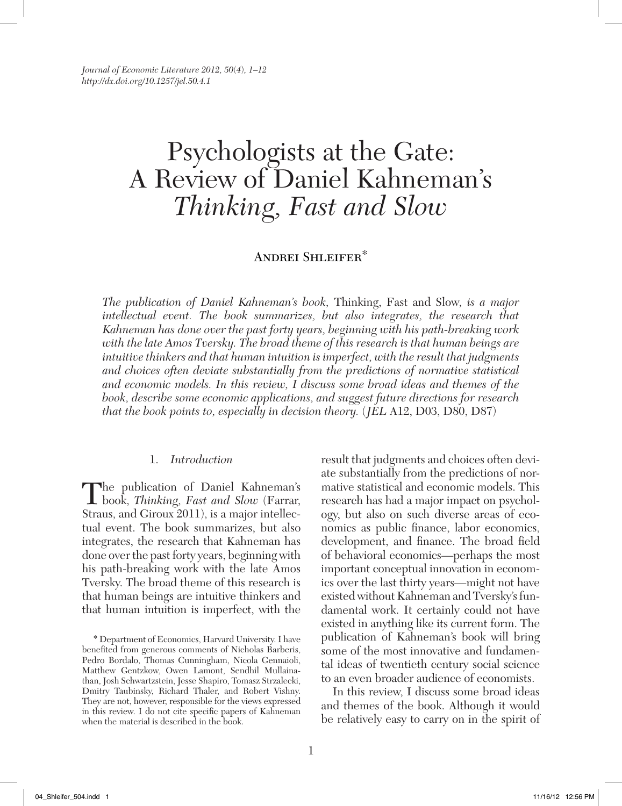*Journal of Economic Literature 2012, 50*(*4*)*, 1–12 http://dx.doi.org/10.1257/jel.50.4.1*

# Psychologists at the Gate: A Review of Daniel Kahneman's *Thinking, Fast and Slow*

## Andrei Shleifer\*

*The publication of Daniel Kahneman's book,* Thinking, Fast and Slow*, is a major intellectual event. The book summarizes, but also integrates, the research that Kahneman has done over the past forty years, beginning with his path-breaking work with the late Amos Tversky. The broad theme of this research is that human beings are intuitive thinkers and that human intuition is imperfect, with the result that judgments and choices often deviate substantially from the predictions of normative statistical and economic models. In this review, I discuss some broad ideas and themes of the book, describe some economic applications, and suggest future directions for research that the book points to, especially in decision theory.* (*JEL* A12, D03, D80, D87)

#### 1. *Introduction*

The publication of Daniel Kahneman's book, *Thinking, Fast and Slow* (Farrar, Straus, and Giroux 2011), is a major intellectual event. The book summarizes, but also integrates, the research that Kahneman has done over the past forty years, beginning with his path-breaking work with the late Amos Tversky. The broad theme of this research is that human beings are intuitive thinkers and that human intuition is imperfect, with the

result that judgments and choices often deviate substantially from the predictions of normative statistical and economic models. This research has had a major impact on psychology, but also on such diverse areas of economics as public finance, labor economics, development, and finance. The broad field of behavioral economics—perhaps the most important conceptual innovation in economics over the last thirty years—might not have existed without Kahneman and Tversky's fundamental work. It certainly could not have existed in anything like its current form. The publication of Kahneman's book will bring some of the most innovative and fundamental ideas of twentieth century social science to an even broader audience of economists.

In this review, I discuss some broad ideas and themes of the book. Although it would be relatively easy to carry on in the spirit of

<sup>\*</sup> Department of Economics, Harvard University. I have benefited from generous comments of Nicholas Barberis, Pedro Bordalo, Thomas Cunningham, Nicola Gennaioli, Matthew Gentzkow, Owen Lamont, Sendhil Mullainathan, Josh Schwartzstein, Jesse Shapiro, Tomasz Strzalecki, Dmitry Taubinsky, Richard Thaler, and Robert Vishny. They are not, however, responsible for the views expressed in this review. I do not cite specific papers of Kahneman when the material is described in the book.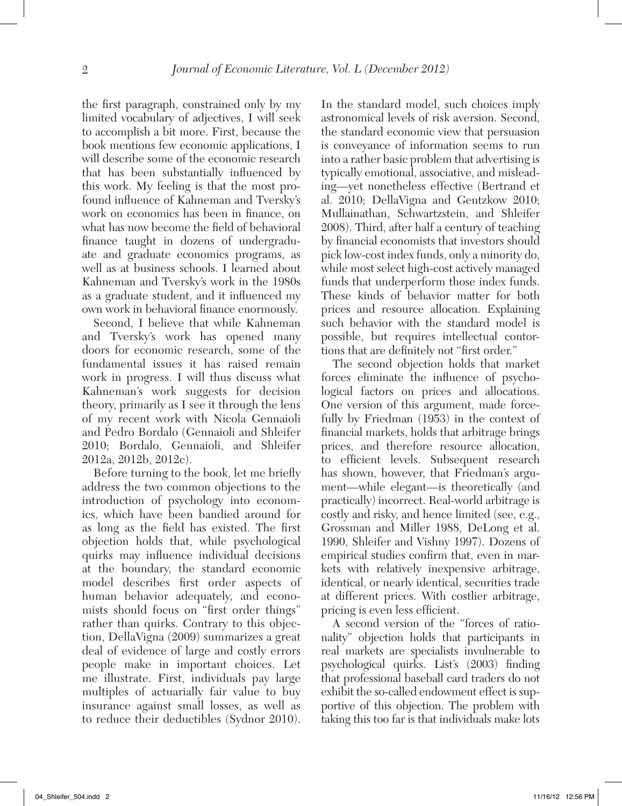the first paragraph, constrained only by my limited vocabulary of adjectives, I will seek to accomplish a bit more. First, because the book mentions few economic applications, I will describe some of the economic research that has been substantially influenced by this work. My feeling is that the most profound influence of Kahneman and Tversky's work on economics has been in finance, on what has now become the field of behavioral finance taught in dozens of undergraduate and graduate economics programs, as well as at business schools. I learned about Kahneman and Tversky's work in the 1980s as a graduate student, and it influenced my own work in behavioral finance enormously.

Second, I believe that while Kahneman and Tversky's work has opened many doors for economic research, some of the fundamental issues it has raised remain work in progress. I will thus discuss what Kahneman's work suggests for decision theory, primarily as I see it through the lens of my recent work with Nicola Gennaioli and Pedro Bordalo (Gennaioli and Shleifer 2010; Bordalo, Gennaioli, and Shleifer 2012a, 2012b, 2012c).

Before turning to the book, let me briefly address the two common objections to the introduction of psychology into economics, which have been bandied around for as long as the field has existed. The first objection holds that, while psychological quirks may influence individual decisions at the boundary, the standard economic model describes first order aspects of human behavior adequately, and economists should focus on "first order things" rather than quirks. Contrary to this objection, DellaVigna (2009) summarizes a great deal of evidence of large and costly errors people make in important choices. Let me illustrate. First, individuals pay large multiples of actuarially fair value to buy insurance against small losses, as well as to reduce their deductibles (Sydnor 2010).

In the standard model, such choices imply astronomical levels of risk aversion. Second, the standard economic view that persuasion is conveyance of information seems to run into a rather basic problem that advertising is typically emotional, associative, and misleading—yet nonetheless effective (Bertrand et al. 2010; DellaVigna and Gentzkow 2010; Mullainathan, Schwartzstein, and Shleifer 2008). Third, after half a century of teaching by financial economists that investors should pick low-cost index funds, only a minority do, while most select high-cost actively managed funds that underperform those index funds. These kinds of behavior matter for both prices and resource allocation. Explaining such behavior with the standard model is possible, but requires intellectual contortions that are definitely not "first order."

The second objection holds that market forces eliminate the influence of psychological factors on prices and allocations. One version of this argument, made forcefully by Friedman (1953) in the context of financial markets, holds that arbitrage brings prices, and therefore resource allocation, to efficient levels. Subsequent research has shown, however, that Friedman's argument—while elegant—is theoretically (and practically) incorrect. Real-world arbitrage is costly and risky, and hence limited (see, e.g., Grossman and Miller 1988, DeLong et al. 1990, Shleifer and Vishny 1997). Dozens of empirical studies confirm that, even in markets with relatively inexpensive arbitrage, identical, or nearly identical, securities trade at different prices. With costlier arbitrage, pricing is even less efficient.

A second version of the "forces of rationality" objection holds that participants in real markets are specialists invulnerable to psychological quirks. List's (2003) finding that professional baseball card traders do not exhibit the so-called endowment effect is supportive of this objection. The problem with taking this too far is that individuals make lots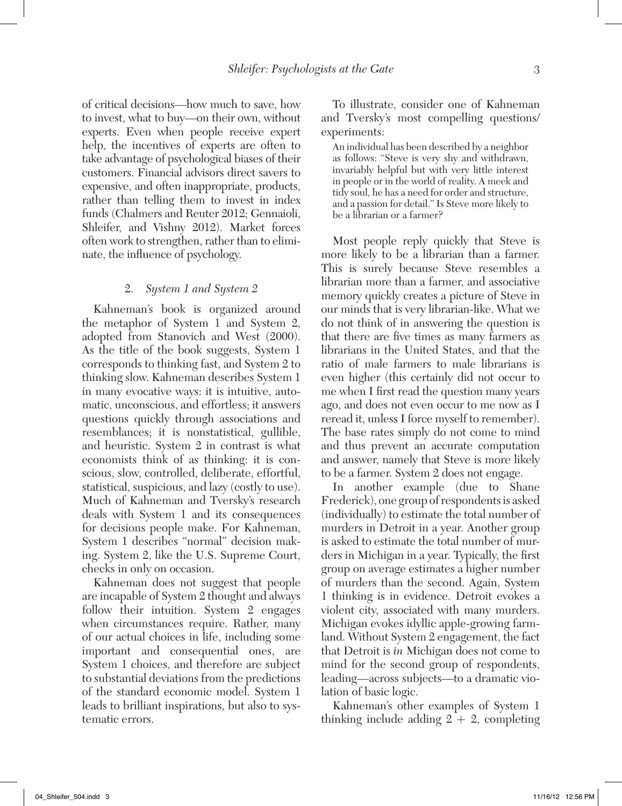of critical decisions—how much to save, how to invest, what to buy—on their own, without experts. Even when people receive expert help, the incentives of experts are often to take advantage of psychological biases of their customers. Financial advisors direct savers to expensive, and often inappropriate, products, rather than telling them to invest in index funds (Chalmers and Reuter 2012; Gennaioli, Shleifer, and Vishny 2012). Market forces often work to strengthen, rather than to eliminate, the influence of psychology.

#### 2. *System 1 and System 2*

Kahneman's book is organized around the metaphor of System 1 and System 2, adopted from Stanovich and West (2000). As the title of the book suggests, System 1 corresponds to thinking fast, and System 2 to thinking slow. Kahneman describes System 1 in many evocative ways: it is intuitive, automatic, unconscious, and effortless; it answers questions quickly through associations and resemblances; it is nonstatistical, gullible, and heuristic. System 2 in contrast is what economists think of as thinking: it is conscious, slow, controlled, deliberate, effortful, statistical, suspicious, and lazy (costly to use). Much of Kahneman and Tversky's research deals with System 1 and its consequences for decisions people make. For Kahneman, System 1 describes "normal" decision making. System 2, like the U.S. Supreme Court, checks in only on occasion.

Kahneman does not suggest that people are incapable of System 2 thought and always follow their intuition. System 2 engages when circumstances require. Rather, many of our actual choices in life, including some important and consequential ones, are System 1 choices, and therefore are subject to substantial deviations from the predictions of the standard economic model. System 1 leads to brilliant inspirations, but also to systematic errors.

To illustrate, consider one of Kahneman and Tversky's most compelling questions/ experiments:

An individual has been described by a neighbor as follows: "Steve is very shy and withdrawn, invariably helpful but with very little interest in people or in the world of reality. A meek and tidy soul, he has a need for order and structure, and a passion for detail." Is Steve more likely to be a librarian or a farmer?

Most people reply quickly that Steve is more likely to be a librarian than a farmer. This is surely because Steve resembles a librarian more than a farmer, and associative memory quickly creates a picture of Steve in our minds that is very librarian-like. What we do not think of in answering the question is that there are five times as many farmers as librarians in the United States, and that the ratio of male farmers to male librarians is even higher (this certainly did not occur to me when I first read the question many years ago, and does not even occur to me now as I reread it, unless I force myself to remember). The base rates simply do not come to mind and thus prevent an accurate computation and answer, namely that Steve is more likely to be a farmer. System 2 does not engage.

In another example (due to Shane Frederick), one group of respondents is asked (individually) to estimate the total number of murders in Detroit in a year. Another group is asked to estimate the total number of murders in Michigan in a year. Typically, the first group on average estimates a higher number of murders than the second. Again, System 1 thinking is in evidence. Detroit evokes a violent city, associated with many murders. Michigan evokes idyllic apple-growing farmland. Without System 2 engagement, the fact that Detroit is *in* Michigan does not come to mind for the second group of respondents, leading—across subjects—to a dramatic violation of basic logic.

Kahneman's other examples of System 1 thinking include adding  $2 + 2$ , completing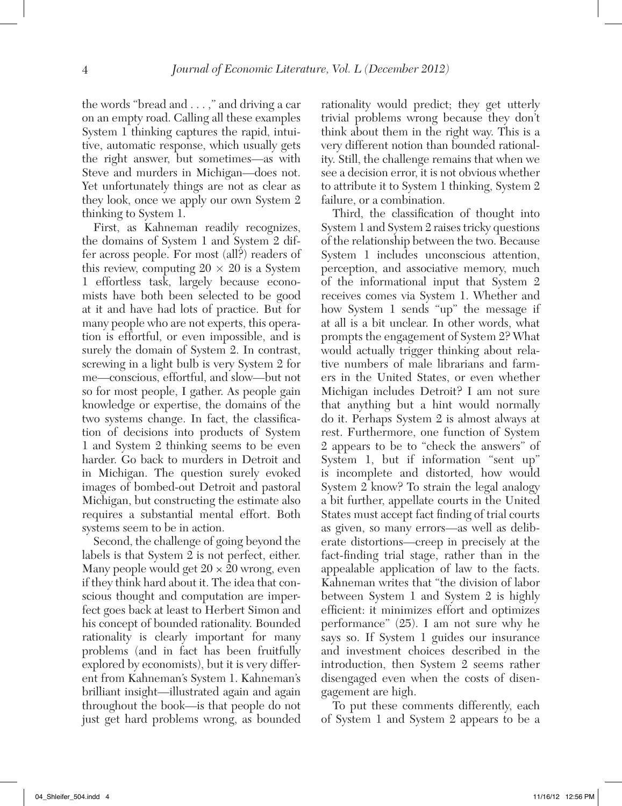the words "bread and . . . ," and driving a car on an empty road. Calling all these examples System 1 thinking captures the rapid, intuitive, automatic response, which usually gets the right answer, but sometimes—as with Steve and murders in Michigan—does not. Yet unfortunately things are not as clear as they look, once we apply our own System 2 thinking to System 1.

First, as Kahneman readily recognizes, the domains of System 1 and System 2 differ across people. For most (all?) readers of this review, computing  $20 \times 20$  is a System 1 effortless task, largely because economists have both been selected to be good at it and have had lots of practice. But for many people who are not experts, this operation is effortful, or even impossible, and is surely the domain of System 2. In contrast, screwing in a light bulb is very System 2 for me—conscious, effortful, and slow—but not so for most people, I gather. As people gain knowledge or expertise, the domains of the two systems change. In fact, the classification of decisions into products of System 1 and System 2 thinking seems to be even harder. Go back to murders in Detroit and in Michigan. The question surely evoked images of bombed-out Detroit and pastoral Michigan, but constructing the estimate also requires a substantial mental effort. Both systems seem to be in action.

Second, the challenge of going beyond the labels is that System 2 is not perfect, either. Many people would get  $20 \times 20$  wrong, even if they think hard about it. The idea that conscious thought and computation are imperfect goes back at least to Herbert Simon and his concept of bounded rationality. Bounded rationality is clearly important for many problems (and in fact has been fruitfully explored by economists), but it is very different from Kahneman's System 1. Kahneman's brilliant insight—illustrated again and again throughout the book—is that people do not just get hard problems wrong, as bounded

rationality would predict; they get utterly trivial problems wrong because they don't think about them in the right way. This is a very different notion than bounded rationality. Still, the challenge remains that when we see a decision error, it is not obvious whether to attribute it to System 1 thinking, System 2 failure, or a combination.

Third, the classification of thought into System 1 and System 2 raises tricky questions of the relationship between the two. Because System 1 includes unconscious attention, perception, and associative memory, much of the informational input that System 2 receives comes via System 1. Whether and how System 1 sends "up" the message if at all is a bit unclear. In other words, what prompts the engagement of System 2? What would actually trigger thinking about relative numbers of male librarians and farmers in the United States, or even whether Michigan includes Detroit? I am not sure that anything but a hint would normally do it. Perhaps System 2 is almost always at rest. Furthermore, one function of System 2 appears to be to "check the answers" of System 1, but if information "sent up" is incomplete and distorted, how would System 2 know? To strain the legal analogy a bit further, appellate courts in the United States must accept fact finding of trial courts as given, so many errors—as well as deliberate distortions—creep in precisely at the fact-finding trial stage, rather than in the appealable application of law to the facts. Kahneman writes that "the division of labor between System 1 and System 2 is highly efficient: it minimizes effort and optimizes performance" (25). I am not sure why he says so. If System 1 guides our insurance and investment choices described in the introduction, then System 2 seems rather disengaged even when the costs of disengagement are high.

To put these comments differently, each of System 1 and System 2 appears to be a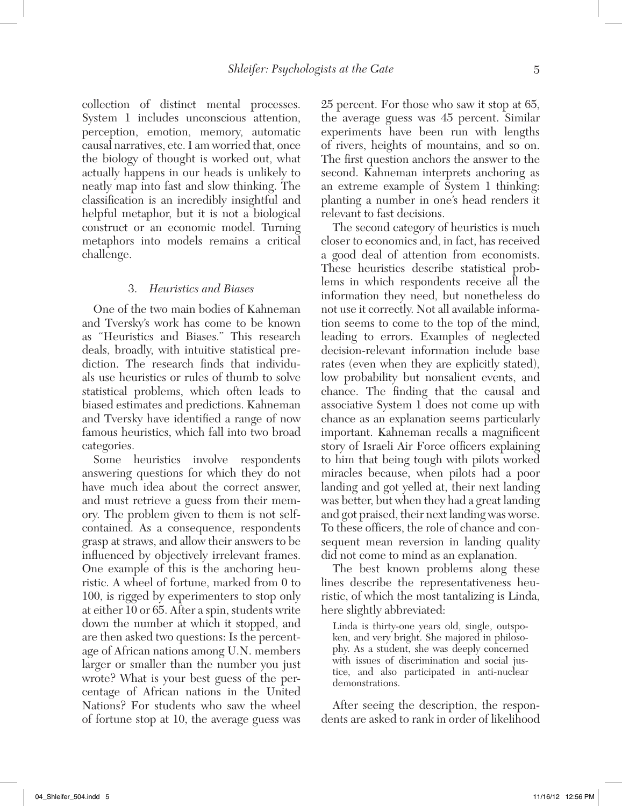collection of distinct mental processes. System 1 includes unconscious attention, perception, emotion, memory, automatic causal narratives, etc. I am worried that, once the biology of thought is worked out, what actually happens in our heads is unlikely to neatly map into fast and slow thinking. The classification is an incredibly insightful and helpful metaphor, but it is not a biological construct or an economic model. Turning metaphors into models remains a critical challenge.

#### 3. *Heuristics and Biases*

One of the two main bodies of Kahneman and Tversky's work has come to be known as "Heuristics and Biases." This research deals, broadly, with intuitive statistical prediction. The research finds that individuals use heuristics or rules of thumb to solve statistical problems, which often leads to biased estimates and predictions. Kahneman and Tversky have identified a range of now famous heuristics, which fall into two broad categories.

Some heuristics involve respondents answering questions for which they do not have much idea about the correct answer, and must retrieve a guess from their memory. The problem given to them is not selfcontained. As a consequence, respondents grasp at straws, and allow their answers to be influenced by objectively irrelevant frames. One example of this is the anchoring heuristic. A wheel of fortune, marked from 0 to 100, is rigged by experimenters to stop only at either 10 or 65. After a spin, students write down the number at which it stopped, and are then asked two questions: Is the percentage of African nations among U.N. members larger or smaller than the number you just wrote? What is your best guess of the percentage of African nations in the United Nations? For students who saw the wheel of fortune stop at 10, the average guess was

25 percent. For those who saw it stop at 65, the average guess was 45 percent. Similar experiments have been run with lengths of rivers, heights of mountains, and so on. The first question anchors the answer to the second. Kahneman interprets anchoring as an extreme example of System 1 thinking: planting a number in one's head renders it relevant to fast decisions.

The second category of heuristics is much closer to economics and, in fact, has received a good deal of attention from economists. These heuristics describe statistical problems in which respondents receive all the information they need, but nonetheless do not use it correctly. Not all available information seems to come to the top of the mind, leading to errors. Examples of neglected decision-relevant information include base rates (even when they are explicitly stated), low probability but nonsalient events, and chance. The finding that the causal and associative System 1 does not come up with chance as an explanation seems particularly important. Kahneman recalls a magnificent story of Israeli Air Force officers explaining to him that being tough with pilots worked miracles because, when pilots had a poor landing and got yelled at, their next landing was better, but when they had a great landing and got praised, their next landing was worse. To these officers, the role of chance and consequent mean reversion in landing quality did not come to mind as an explanation.

The best known problems along these lines describe the representativeness heuristic, of which the most tantalizing is Linda, here slightly abbreviated:

Linda is thirty-one years old, single, outspoken, and very bright. She majored in philosophy. As a student, she was deeply concerned with issues of discrimination and social justice, and also participated in anti-nuclear demonstrations.

After seeing the description, the respondents are asked to rank in order of likelihood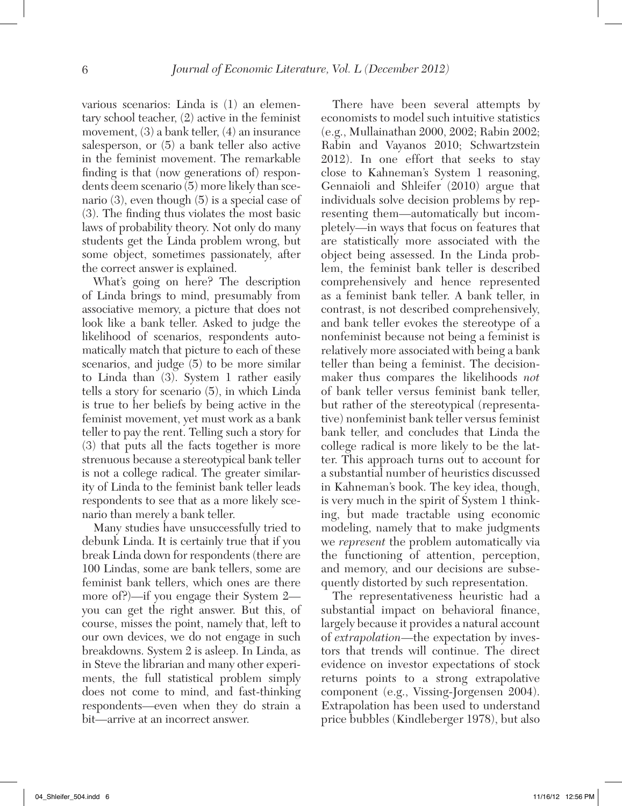various scenarios: Linda is (1) an elementary school teacher, (2) active in the feminist movement, (3) a bank teller, (4) an insurance salesperson, or (5) a bank teller also active in the feminist movement. The remarkable finding is that (now generations of) respondents deem scenario (5) more likely than scenario (3), even though (5) is a special case of (3). The finding thus violates the most basic laws of probability theory. Not only do many students get the Linda problem wrong, but some object, sometimes passionately, after the correct answer is explained.

What's going on here? The description of Linda brings to mind, presumably from associative memory, a picture that does not look like a bank teller. Asked to judge the likelihood of scenarios, respondents automatically match that picture to each of these scenarios, and judge (5) to be more similar to Linda than (3). System 1 rather easily tells a story for scenario (5), in which Linda is true to her beliefs by being active in the feminist movement, yet must work as a bank teller to pay the rent. Telling such a story for (3) that puts all the facts together is more strenuous because a stereotypical bank teller is not a college radical. The greater similarity of Linda to the feminist bank teller leads respondents to see that as a more likely scenario than merely a bank teller.

Many studies have unsuccessfully tried to debunk Linda. It is certainly true that if you break Linda down for respondents (there are 100 Lindas, some are bank tellers, some are feminist bank tellers, which ones are there more of?)—if you engage their System 2 you can get the right answer. But this, of course, misses the point, namely that, left to our own devices, we do not engage in such breakdowns. System 2 is asleep. In Linda, as in Steve the librarian and many other experiments, the full statistical problem simply does not come to mind, and fast-thinking respondents—even when they do strain a bit—arrive at an incorrect answer.

There have been several attempts by economists to model such intuitive statistics (e.g., Mullainathan 2000, 2002; Rabin 2002; Rabin and Vayanos 2010; Schwartzstein 2012). In one effort that seeks to stay close to Kahneman's System 1 reasoning, Gennaioli and Shleifer (2010) argue that individuals solve decision problems by representing them—automatically but incompletely—in ways that focus on features that are statistically more associated with the object being assessed. In the Linda problem, the feminist bank teller is described comprehensively and hence represented as a feminist bank teller. A bank teller, in contrast, is not described comprehensively, and bank teller evokes the stereotype of a nonfeminist because not being a feminist is relatively more associated with being a bank teller than being a feminist. The decisionmaker thus compares the likelihoods *not* of bank teller versus feminist bank teller, but rather of the stereotypical (representative) nonfeminist bank teller versus feminist bank teller, and concludes that Linda the college radical is more likely to be the latter. This approach turns out to account for a substantial number of heuristics discussed in Kahneman's book. The key idea, though, is very much in the spirit of System 1 thinking, but made tractable using economic modeling, namely that to make judgments we *represent* the problem automatically via the functioning of attention, perception, and memory, and our decisions are subsequently distorted by such representation.

The representativeness heuristic had a substantial impact on behavioral finance, largely because it provides a natural account of *extrapolation*—the expectation by investors that trends will continue. The direct evidence on investor expectations of stock returns points to a strong extrapolative component (e.g., Vissing-Jorgensen 2004). Extrapolation has been used to understand price bubbles (Kindleberger 1978), but also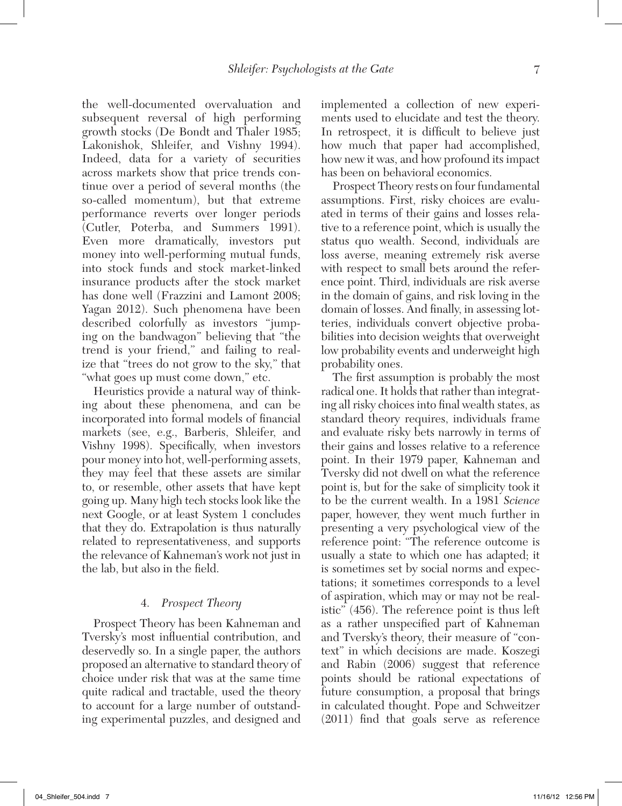the well-documented overvaluation and subsequent reversal of high performing growth stocks (De Bondt and Thaler 1985; Lakonishok, Shleifer, and Vishny 1994). Indeed, data for a variety of securities across markets show that price trends continue over a period of several months (the so-called momentum), but that extreme performance reverts over longer periods (Cutler, Poterba, and Summers 1991). Even more dramatically, investors put money into well-performing mutual funds, into stock funds and stock market-linked insurance products after the stock market has done well (Frazzini and Lamont 2008; Yagan 2012). Such phenomena have been described colorfully as investors "jumping on the bandwagon" believing that "the trend is your friend," and failing to realize that "trees do not grow to the sky," that "what goes up must come down," etc.

Heuristics provide a natural way of thinking about these phenomena, and can be incorporated into formal models of financial markets (see, e.g., Barberis, Shleifer, and Vishny 1998). Specifically, when investors pour money into hot, well-performing assets, they may feel that these assets are similar to, or resemble, other assets that have kept going up. Many high tech stocks look like the next Google, or at least System 1 concludes that they do. Extrapolation is thus naturally related to representativeness, and supports the relevance of Kahneman's work not just in the lab, but also in the field.

#### 4. *Prospect Theory*

Prospect Theory has been Kahneman and Tversky's most influential contribution, and deservedly so. In a single paper, the authors proposed an alternative to standard theory of choice under risk that was at the same time quite radical and tractable, used the theory to account for a large number of outstanding experimental puzzles, and designed and implemented a collection of new experiments used to elucidate and test the theory. In retrospect, it is difficult to believe just how much that paper had accomplished, how new it was, and how profound its impact has been on behavioral economics.

Prospect Theory rests on four fundamental assumptions. First, risky choices are evaluated in terms of their gains and losses relative to a reference point, which is usually the status quo wealth. Second, individuals are loss averse, meaning extremely risk averse with respect to small bets around the reference point. Third, individuals are risk averse in the domain of gains, and risk loving in the domain of losses. And finally, in assessing lotteries, individuals convert objective probabilities into decision weights that overweight low probability events and underweight high probability ones.

The first assumption is probably the most radical one. It holds that rather than integrating all risky choices into final wealth states, as standard theory requires, individuals frame and evaluate risky bets narrowly in terms of their gains and losses relative to a reference point. In their 1979 paper, Kahneman and Tversky did not dwell on what the reference point is, but for the sake of simplicity took it to be the current wealth. In a 1981 *Science*  paper, however, they went much further in presenting a very psychological view of the reference point: "The reference outcome is usually a state to which one has adapted; it is sometimes set by social norms and expectations; it sometimes corresponds to a level of aspiration, which may or may not be realistic" (456). The reference point is thus left as a rather unspecified part of Kahneman and Tversky's theory, their measure of "context" in which decisions are made. Koszegi and Rabin (2006) suggest that reference points should be rational expectations of future consumption, a proposal that brings in calculated thought. Pope and Schweitzer (2011) find that goals serve as reference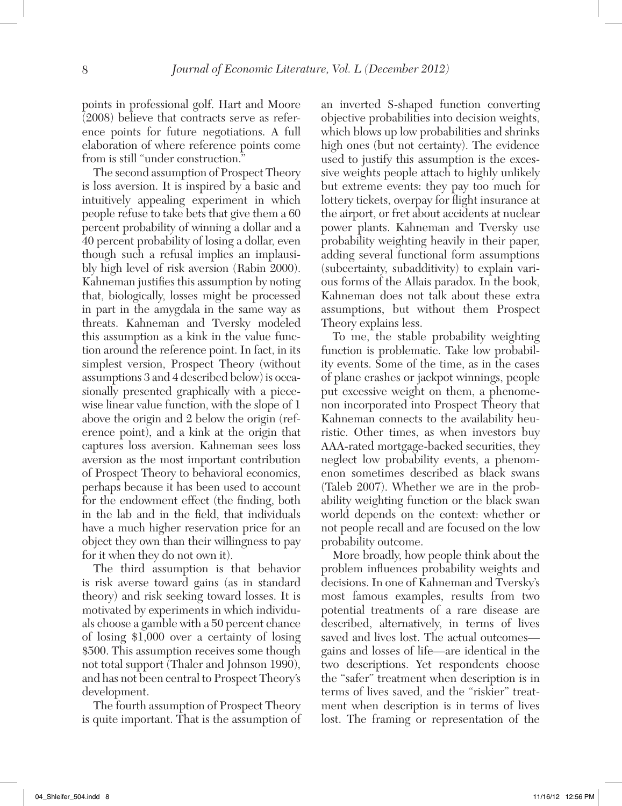points in professional golf. Hart and Moore (2008) believe that contracts serve as reference points for future negotiations. A full elaboration of where reference points come from is still "under construction."

The second assumption of Prospect Theory is loss aversion. It is inspired by a basic and intuitively appealing experiment in which people refuse to take bets that give them a 60 percent probability of winning a dollar and a 40 percent probability of losing a dollar, even though such a refusal implies an implausibly high level of risk aversion (Rabin 2000). Kahneman justifies this assumption by noting that, biologically, losses might be processed in part in the amygdala in the same way as threats. Kahneman and Tversky modeled this assumption as a kink in the value function around the reference point. In fact, in its simplest version, Prospect Theory (without assumptions 3 and 4 described below) is occasionally presented graphically with a piecewise linear value function, with the slope of 1 above the origin and 2 below the origin (reference point), and a kink at the origin that captures loss aversion. Kahneman sees loss aversion as the most important contribution of Prospect Theory to behavioral economics, perhaps because it has been used to account for the endowment effect (the finding, both in the lab and in the field, that individuals have a much higher reservation price for an object they own than their willingness to pay for it when they do not own it).

The third assumption is that behavior is risk averse toward gains (as in standard theory) and risk seeking toward losses. It is motivated by experiments in which individuals choose a gamble with a 50 percent chance of losing \$1,000 over a certainty of losing \$500. This assumption receives some though not total support (Thaler and Johnson 1990), and has not been central to Prospect Theory's development.

The fourth assumption of Prospect Theory is quite important. That is the assumption of an inverted S-shaped function converting objective probabilities into decision weights, which blows up low probabilities and shrinks high ones (but not certainty). The evidence used to justify this assumption is the excessive weights people attach to highly unlikely but extreme events: they pay too much for lottery tickets, overpay for flight insurance at the airport, or fret about accidents at nuclear power plants. Kahneman and Tversky use probability weighting heavily in their paper, adding several functional form assumptions (subcertainty, subadditivity) to explain various forms of the Allais paradox. In the book, Kahneman does not talk about these extra assumptions, but without them Prospect Theory explains less.

To me, the stable probability weighting function is problematic. Take low probability events. Some of the time, as in the cases of plane crashes or jackpot winnings, people put excessive weight on them, a phenomenon incorporated into Prospect Theory that Kahneman connects to the availability heuristic. Other times, as when investors buy AAA-rated mortgage-backed securities, they neglect low probability events, a phenomenon sometimes described as black swans (Taleb 2007). Whether we are in the probability weighting function or the black swan world depends on the context: whether or not people recall and are focused on the low probability outcome.

More broadly, how people think about the problem influences probability weights and decisions. In one of Kahneman and Tversky's most famous examples, results from two potential treatments of a rare disease are described, alternatively, in terms of lives saved and lives lost. The actual outcomes gains and losses of life—are identical in the two descriptions. Yet respondents choose the "safer" treatment when description is in terms of lives saved, and the "riskier" treatment when description is in terms of lives lost. The framing or representation of the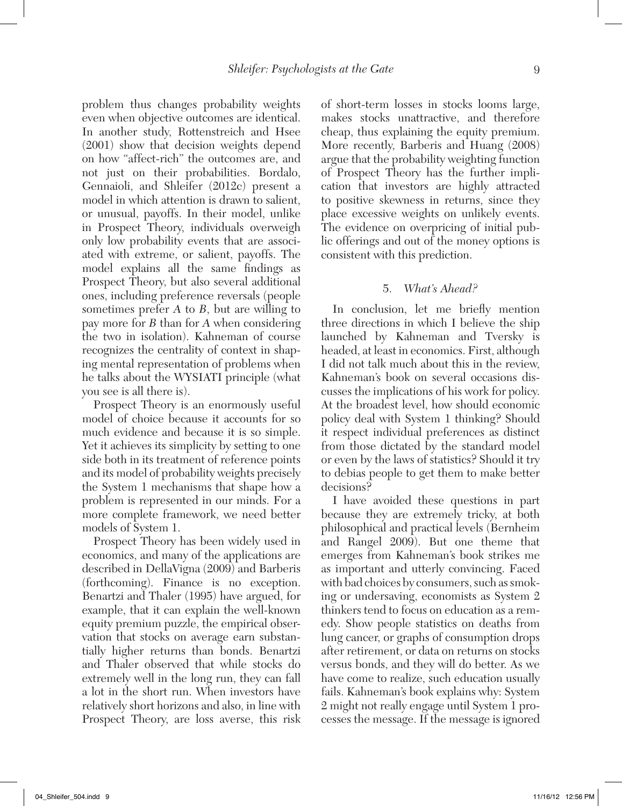problem thus changes probability weights even when objective outcomes are identical. In another study, Rottenstreich and Hsee (2001) show that decision weights depend on how "affect-rich" the outcomes are, and not just on their probabilities. Bordalo, Gennaioli, and Shleifer (2012c) present a model in which attention is drawn to salient, or unusual, payoffs. In their model, unlike in Prospect Theory, individuals overweigh only low probability events that are associated with extreme, or salient, payoffs. The model explains all the same findings as Prospect Theory, but also several additional ones, including preference reversals (people sometimes prefer *A* to *B*, but are willing to pay more for *B* than for *A* when considering the two in isolation). Kahneman of course recognizes the centrality of context in shaping mental representation of problems when he talks about the WYSIATI principle (what you see is all there is).

Prospect Theory is an enormously useful model of choice because it accounts for so much evidence and because it is so simple. Yet it achieves its simplicity by setting to one side both in its treatment of reference points and its model of probability weights precisely the System 1 mechanisms that shape how a problem is represented in our minds. For a more complete framework, we need better models of System 1.

Prospect Theory has been widely used in economics, and many of the applications are described in DellaVigna (2009) and Barberis (forthcoming). Finance is no exception. Benartzi and Thaler (1995) have argued, for example, that it can explain the well-known equity premium puzzle, the empirical observation that stocks on average earn substantially higher returns than bonds. Benartzi and Thaler observed that while stocks do extremely well in the long run, they can fall a lot in the short run. When investors have relatively short horizons and also, in line with Prospect Theory, are loss averse, this risk

of short-term losses in stocks looms large, makes stocks unattractive, and therefore cheap, thus explaining the equity premium. More recently, Barberis and Huang (2008) argue that the probability weighting function of Prospect Theory has the further implication that investors are highly attracted to positive skewness in returns, since they place excessive weights on unlikely events. The evidence on overpricing of initial public offerings and out of the money options is consistent with this prediction.

### 5. *What's Ahead?*

In conclusion, let me briefly mention three directions in which I believe the ship launched by Kahneman and Tversky is headed, at least in economics. First, although I did not talk much about this in the review, Kahneman's book on several occasions discusses the implications of his work for policy. At the broadest level, how should economic policy deal with System 1 thinking? Should it respect individual preferences as distinct from those dictated by the standard model or even by the laws of statistics? Should it try to debias people to get them to make better decisions?

I have avoided these questions in part because they are extremely tricky, at both philosophical and practical levels (Bernheim and Rangel 2009). But one theme that emerges from Kahneman's book strikes me as important and utterly convincing. Faced with bad choices by consumers, such as smoking or undersaving, economists as System 2 thinkers tend to focus on education as a remedy. Show people statistics on deaths from lung cancer, or graphs of consumption drops after retirement, or data on returns on stocks versus bonds, and they will do better. As we have come to realize, such education usually fails. Kahneman's book explains why: System 2 might not really engage until System 1 processes the message. If the message is ignored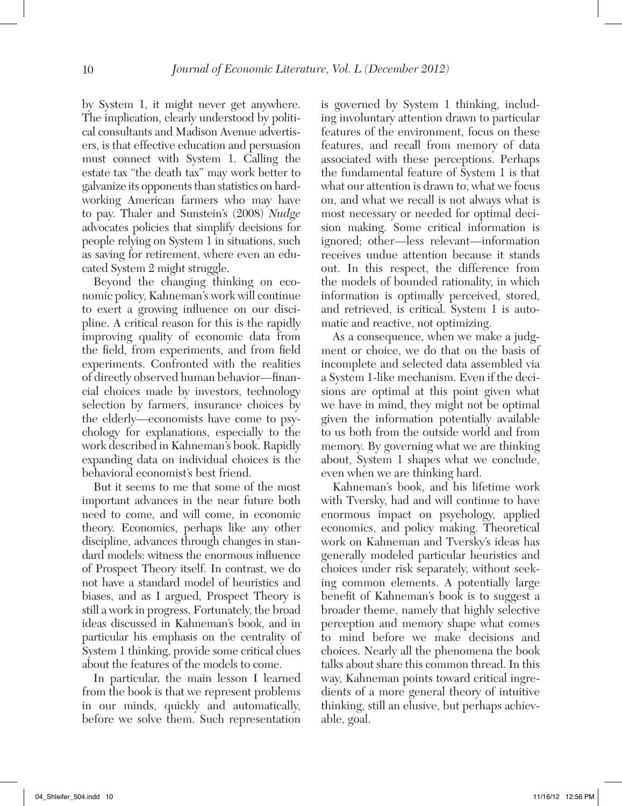by System 1, it might never get anywhere. The implication, clearly understood by political consultants and Madison Avenue advertisers, is that effective education and persuasion must connect with System 1. Calling the estate tax "the death tax" may work better to galvanize its opponents than statistics on hardworking American farmers who may have to pay. Thaler and Sunstein's (2008) *Nudge* advocates policies that simplify decisions for people relying on System 1 in situations, such as saving for retirement, where even an educated System 2 might struggle.

Beyond the changing thinking on economic policy, Kahneman's work will continue to exert a growing influence on our discipline. A critical reason for this is the rapidly improving quality of economic data from the field, from experiments, and from field experiments. Confronted with the realities of directly observed human behavior—financial choices made by investors, technology selection by farmers, insurance choices by the elderly—economists have come to psychology for explanations, especially to the work described in Kahneman's book. Rapidly expanding data on individual choices is the behavioral economist's best friend.

But it seems to me that some of the most important advances in the near future both need to come, and will come, in economic theory. Economics, perhaps like any other discipline, advances through changes in standard models: witness the enormous influence of Prospect Theory itself. In contrast, we do not have a standard model of heuristics and biases, and as I argued, Prospect Theory is still a work in progress. Fortunately, the broad ideas discussed in Kahneman's book, and in particular his emphasis on the centrality of System 1 thinking, provide some critical clues about the features of the models to come.

In particular, the main lesson I learned from the book is that we represent problems in our minds, quickly and automatically, before we solve them. Such representation

is governed by System 1 thinking, including involuntary attention drawn to particular features of the environment, focus on these features, and recall from memory of data associated with these perceptions. Perhaps the fundamental feature of System 1 is that what our attention is drawn to, what we focus on, and what we recall is not always what is most necessary or needed for optimal decision making. Some critical information is ignored; other—less relevant—information receives undue attention because it stands out. In this respect, the difference from the models of bounded rationality, in which information is optimally perceived, stored, and retrieved, is critical. System 1 is automatic and reactive, not optimizing.

As a consequence, when we make a judgment or choice, we do that on the basis of incomplete and selected data assembled via a System 1-like mechanism. Even if the decisions are optimal at this point given what we have in mind, they might not be optimal given the information potentially available to us both from the outside world and from memory. By governing what we are thinking about, System 1 shapes what we conclude, even when we are thinking hard.

Kahneman's book, and his lifetime work with Tversky, had and will continue to have enormous impact on psychology, applied economics, and policy making. Theoretical work on Kahneman and Tversky's ideas has generally modeled particular heuristics and choices under risk separately, without seeking common elements. A potentially large benefit of Kahneman's book is to suggest a broader theme, namely that highly selective perception and memory shape what comes to mind before we make decisions and choices. Nearly all the phenomena the book talks about share this common thread. In this way, Kahneman points toward critical ingredients of a more general theory of intuitive thinking, still an elusive, but perhaps achievable, goal.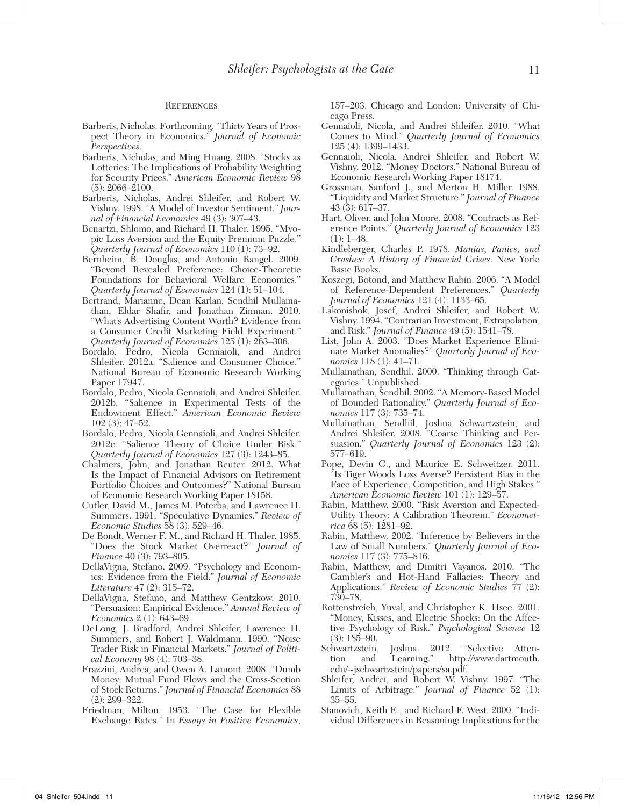#### **REFERENCES**

- Barberis, Nicholas. Forthcoming. "Thirty Years of Prospect Theory in Economics." *Journal of Economic Perspectives*.
- Barberis, Nicholas, and Ming Huang. 2008. "Stocks as Lotteries: The Implications of Probability Weighting for Security Prices." *American Economic Review* 98 (5): 2066–2100.
- Barberis, Nicholas, Andrei Shleifer, and Robert W. Vishny. 1998. "A Model of Investor Sentiment." *Journal of Financial Economics* 49 (3): 307–43.
- Benartzi, Shlomo, and Richard H. Thaler. 1995. "Myopic Loss Aversion and the Equity Premium Puzzle." *Quarterly Journal of Economics* 110 (1): 73–92.
- Bernheim, B. Douglas, and Antonio Rangel. 2009. "Beyond Revealed Preference: Choice-Theoretic Foundations for Behavioral Welfare Economics." *Quarterly Journal of Economics* 124 (1): 51–104.
- Bertrand, Marianne, Dean Karlan, Sendhil Mullainathan, Eldar Shafir, and Jonathan Zinman. 2010. "What's Advertising Content Worth? Evidence from a Consumer Credit Marketing Field Experiment." *Quarterly Journal of Economics* 125 (1): 263–306.
- Bordalo, Pedro, Nicola Gennaioli, and Andrei Shleifer. 2012a. "Salience and Consumer Choice." National Bureau of Economic Research Working Paper 17947.
- Bordalo, Pedro, Nicola Gennaioli, and Andrei Shleifer. 2012b. "Salience in Experimental Tests of the Endowment Effect." *American Economic Review* 102 (3): 47–52.
- Bordalo, Pedro, Nicola Gennaioli, and Andrei Shleifer. 2012c. "Salience Theory of Choice Under Risk." *Quarterly Journal of Economics* 127 (3): 1243–85.
- Chalmers, John, and Jonathan Reuter. 2012. What Is the Impact of Financial Advisors on Retirement Portfolio Choices and Outcomes?" National Bureau of Economic Research Working Paper 18158.
- Cutler, David M., James M. Poterba, and Lawrence H. Summers. 1991. "Speculative Dynamics." *Review of Economic Studies* 58 (3): 529–46.
- De Bondt, Werner F. M., and Richard H. Thaler. 1985. "Does the Stock Market Overreact?" *Journal of Finance* 40 (3): 793–805.
- DellaVigna, Stefano. 2009. "Psychology and Economics: Evidence from the Field." *Journal of Economic Literature* 47 (2): 315–72.
- DellaVigna, Stefano, and Matthew Gentzkow. 2010. "Persuasion: Empirical Evidence." *Annual Review of Economics* 2 (1): 643–69.
- DeLong, J. Bradford, Andrei Shleifer, Lawrence H. Summers, and Robert J. Waldmann. 1990. "Noise Trader Risk in Financial Markets." *Journal of Political Economy* 98 (4): 703–38.
- Frazzini, Andrea, and Owen A. Lamont. 2008. "Dumb Money: Mutual Fund Flows and the Cross-Section of Stock Returns." *Journal of Financial Economics* 88 (2): 299–322.
- Friedman, Milton. 1953. "The Case for Flexible Exchange Rates." In *Essays in Positive Economics*,

157–203. Chicago and London: University of Chicago Press.

- Gennaioli, Nicola, and Andrei Shleifer. 2010. "What Comes to Mind." *Quarterly Journal of Economics* 125 (4): 1399–1433.
- Gennaioli, Nicola, Andrei Shleifer, and Robert W. Vishny. 2012. "Money Doctors." National Bureau of Economic Research Working Paper 18174.
- Grossman, Sanford J., and Merton H. Miller. 1988. "Liquidity and Market Structure." *Journal of Finance* 43 (3): 617–37.
- Hart, Oliver, and John Moore. 2008. "Contracts as Reference Points." *Quarterly Journal of Economics* 123  $(1): 1-48.$
- Kindleberger, Charles P. 1978. *Manias, Panics, and Crashes: A History of Financial Crises*. New York: Basic Books.
- Koszegi, Botond, and Matthew Rabin. 2006. "A Model of Reference-Dependent Preferences." *Quarterly Journal of Economics* 121 (4): 1133–65.
- Lakonishok, Josef, Andrei Shleifer, and Robert W. Vishny. 1994. "Contrarian Investment, Extrapolation, and Risk." *Journal of Finance* 49 (5): 1541–78.
- List, John A. 2003. "Does Market Experience Eliminate Market Anomalies?" *Quarterly Journal of Economics* 118 (1): 41–71.
- Mullainathan, Sendhil. 2000. "Thinking through Categories." Unpublished.
- Mullainathan, Sendhil. 2002. "A Memory-Based Model of Bounded Rationality." *Quarterly Journal of Economics* 117 (3): 735–74.
- Mullainathan, Sendhil, Joshua Schwartzstein, and Andrei Shleifer. 2008. "Coarse Thinking and Persuasion." *Quarterly Journal of Economics* 123 (2): 577–619.
- Pope, Devin G., and Maurice E. Schweitzer. 2011. "Is Tiger Woods Loss Averse? Persistent Bias in the Face of Experience, Competition, and High Stakes." *American Economic Review* 101 (1): 129–57.
- Rabin, Matthew. 2000. "Risk Aversion and Expected-Utility Theory: A Calibration Theorem." *Econometrica* 68 (5): 1281–92.
- Rabin, Matthew. 2002. "Inference by Believers in the Law of Small Numbers." *Quarterly Journal of Economics* 117 (3): 775–816.
- Rabin, Matthew, and Dimitri Vayanos. 2010. "The Gambler's and Hot-Hand Fallacies: Theory and Applications." *Review of Economic Studies* 77 (2): 730–78.
- Rottenstreich, Yuval, and Christopher K. Hsee. 2001. "Money, Kisses, and Electric Shocks: On the Affective Psychology of Risk." *Psychological Science* 12 (3): 185–90.
- stein, Joshua. 2012. "Selective Atten-<br>and Learning." http://www.dartmouth. tion and Learning." http://www.dartmouth. edu/~jschwartzstein/papers/sa.pdf.
- Shleifer, Andrei, and Robert W. Vishny. 1997. "The Limits of Arbitrage." *Journal of Finance* 52 (1): 35–55.
- Stanovich, Keith E., and Richard F. West. 2000. "Individual Differences in Reasoning: Implications for the